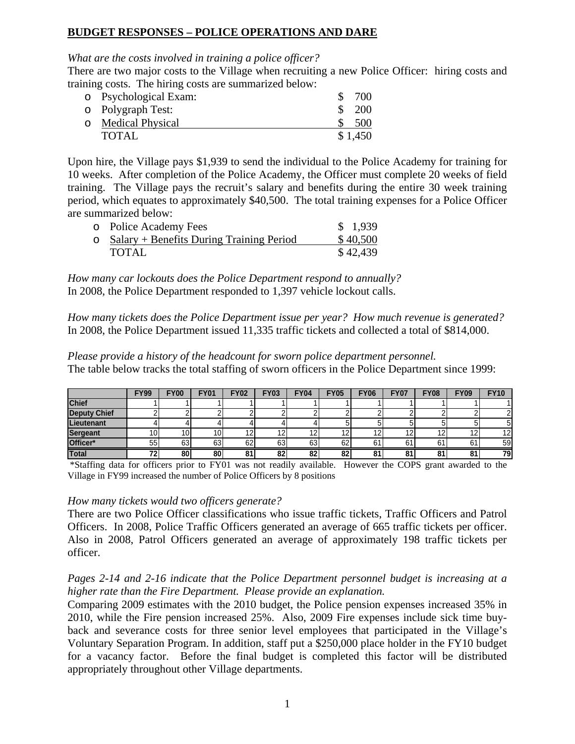# **BUDGET RESPONSES – POLICE OPERATIONS AND DARE**

# *What are the costs involved in training a police officer?*

There are two major costs to the Village when recruiting a new Police Officer: hiring costs and training costs. The hiring costs are summarized below:

| o Psychological Exam: | 700        |
|-----------------------|------------|
| o Polygraph Test:     | <b>200</b> |
| o Medical Physical    | 500        |
| TOTAL                 | \$1,450    |

Upon hire, the Village pays \$1,939 to send the individual to the Police Academy for training for 10 weeks. After completion of the Police Academy, the Officer must complete 20 weeks of field training. The Village pays the recruit's salary and benefits during the entire 30 week training period, which equates to approximately \$40,500. The total training expenses for a Police Officer are summarized below:

| o Police Academy Fees                            | \$1,939  |
|--------------------------------------------------|----------|
| $\circ$ Salary + Benefits During Training Period | \$40,500 |
| <b>TOTAL</b>                                     | \$42,439 |

*How many car lockouts does the Police Department respond to annually?*  In 2008, the Police Department responded to 1,397 vehicle lockout calls.

*How many tickets does the Police Department issue per year? How much revenue is generated?*  In 2008, the Police Department issued 11,335 traffic tickets and collected a total of \$814,000.

*Please provide a history of the headcount for sworn police department personnel.*  The table below tracks the total staffing of sworn officers in the Police Department since 1999:

|              | <b>FY99</b>     | <b>FY00</b> | <b>FY01</b> | <b>FY02</b>          | <b>FY03</b> | <b>FY04</b> | <b>FY05</b> | <b>FY06</b> | <b>FY07</b> | <b>FY08</b> | <b>FY09</b>           | <b>FY10</b>     |
|--------------|-----------------|-------------|-------------|----------------------|-------------|-------------|-------------|-------------|-------------|-------------|-----------------------|-----------------|
| <b>Chief</b> |                 |             |             |                      |             |             |             |             |             |             |                       |                 |
| Deputy Chief |                 |             |             |                      |             |             |             |             |             |             |                       |                 |
| Lieutenant   |                 |             |             |                      |             |             |             |             |             |             |                       |                 |
| Sergeant     | 10 <sub>1</sub> | 10          | $\sim$      | $\overline{1}$<br>12 | 121         | י           | ה ו         | 12          |             |             | $\overline{ }$<br>' 4 | 12 <sub>l</sub> |
| Officer*     | 55              | 63          | 63          | 62                   | 63          | 63          | 62          | 61          | 61          | 61          | 61                    | 59              |
| Total        | 72.             | 80          | 80          | 81                   | 82          | 82          | 821         | 81          | 81          | 04<br>o     | 81                    | 79              |

 \*Staffing data for officers prior to FY01 was not readily available. However the COPS grant awarded to the Village in FY99 increased the number of Police Officers by 8 positions

### *How many tickets would two officers generate?*

There are two Police Officer classifications who issue traffic tickets, Traffic Officers and Patrol Officers. In 2008, Police Traffic Officers generated an average of 665 traffic tickets per officer. Also in 2008, Patrol Officers generated an average of approximately 198 traffic tickets per officer.

## *Pages 2-14 and 2-16 indicate that the Police Department personnel budget is increasing at a higher rate than the Fire Department. Please provide an explanation.*

Comparing 2009 estimates with the 2010 budget, the Police pension expenses increased 35% in 2010, while the Fire pension increased 25%. Also, 2009 Fire expenses include sick time buyback and severance costs for three senior level employees that participated in the Village's Voluntary Separation Program. In addition, staff put a \$250,000 place holder in the FY10 budget for a vacancy factor. Before the final budget is completed this factor will be distributed appropriately throughout other Village departments.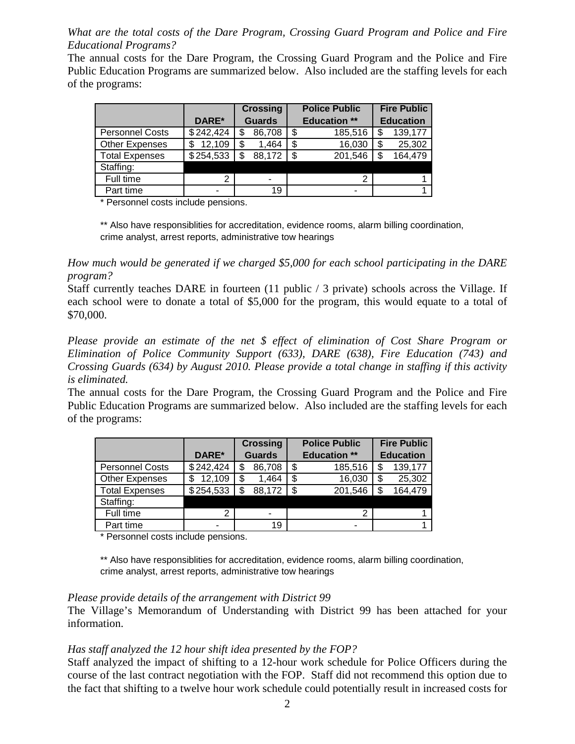*What are the total costs of the Dare Program, Crossing Guard Program and Police and Fire Educational Programs?* 

The annual costs for the Dare Program, the Crossing Guard Program and the Police and Fire Public Education Programs are summarized below. Also included are the staffing levels for each of the programs:

|                        |           | <b>Crossing</b> |        |      | <b>Police Public</b> | <b>Fire Public</b> |         |  |
|------------------------|-----------|-----------------|--------|------|----------------------|--------------------|---------|--|
|                        | DARE*     | <b>Guards</b>   |        |      | <b>Education **</b>  | <b>Education</b>   |         |  |
| <b>Personnel Costs</b> | \$242,424 | \$              | 86,708 | S    | 185,516              |                    | 139,177 |  |
| <b>Other Expenses</b>  | 12,109    | \$              | 1,464  | \$   | 16,030               |                    | 25,302  |  |
| <b>Total Expenses</b>  | \$254,533 | \$              | 88,172 | - \$ | 201,546              |                    | 164,479 |  |
| Staffing:              |           |                 |        |      |                      |                    |         |  |
| Full time              | າ         |                 | -      |      |                      |                    |         |  |
| Part time              |           |                 | 19     |      | -                    |                    |         |  |

\* Personnel costs include pensions.

\*\* Also have responsiblities for accreditation, evidence rooms, alarm billing coordination, crime analyst, arrest reports, administrative tow hearings

*How much would be generated if we charged \$5,000 for each school participating in the DARE program?* 

Staff currently teaches DARE in fourteen (11 public / 3 private) schools across the Village. If each school were to donate a total of \$5,000 for the program, this would equate to a total of \$70,000.

*Please provide an estimate of the net \$ effect of elimination of Cost Share Program or Elimination of Police Community Support (633), DARE (638), Fire Education (743) and Crossing Guards (634) by August 2010. Please provide a total change in staffing if this activity is eliminated.* 

The annual costs for the Dare Program, the Crossing Guard Program and the Police and Fire Public Education Programs are summarized below. Also included are the staffing levels for each of the programs:

|                        |           | <b>Crossing</b> |        |     | <b>Police Public</b> | <b>Fire Public</b> |         |  |
|------------------------|-----------|-----------------|--------|-----|----------------------|--------------------|---------|--|
|                        | DARE*     | <b>Guards</b>   |        |     | <b>Education **</b>  | <b>Education</b>   |         |  |
| <b>Personnel Costs</b> | \$242,424 | \$              | 86,708 | -\$ | 185,516              |                    | 139,177 |  |
| <b>Other Expenses</b>  | 12,109    | \$              | 1,464  | \$  | 16,030               |                    | 25,302  |  |
| <b>Total Expenses</b>  | \$254,533 | \$              | 88,172 | -\$ | 201,546              |                    | 164,479 |  |
| Staffing:              |           |                 |        |     |                      |                    |         |  |
| Full time              | າ         |                 | -      |     |                      |                    |         |  |
| Part time              |           |                 | 19     |     | -                    |                    |         |  |

\* Personnel costs include pensions.

\*\* Also have responsiblities for accreditation, evidence rooms, alarm billing coordination, crime analyst, arrest reports, administrative tow hearings

### *Please provide details of the arrangement with District 99*

The Village's Memorandum of Understanding with District 99 has been attached for your information.

### *Has staff analyzed the 12 hour shift idea presented by the FOP?*

Staff analyzed the impact of shifting to a 12-hour work schedule for Police Officers during the course of the last contract negotiation with the FOP. Staff did not recommend this option due to the fact that shifting to a twelve hour work schedule could potentially result in increased costs for